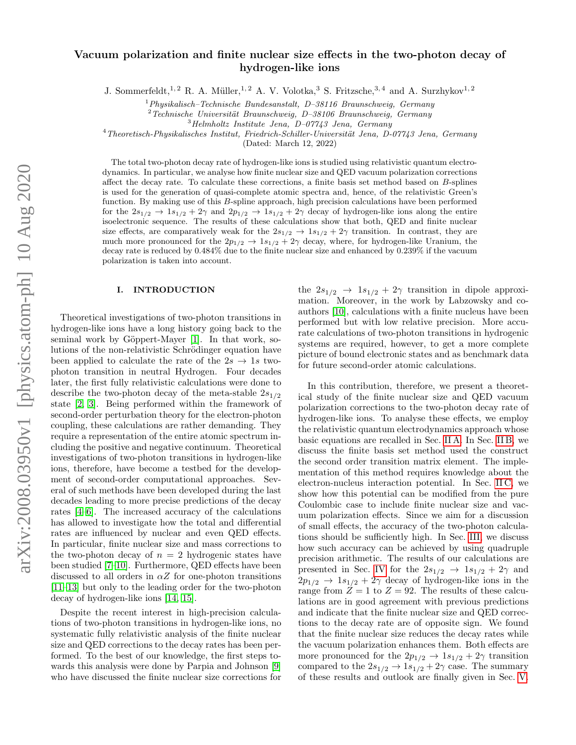# Vacuum polarization and finite nuclear size effects in the two-photon decay of hydrogen-like ions

J. Sommerfeldt,<sup>1, 2</sup> R. A. Müller,<sup>1, 2</sup> A. V. Volotka,<sup>3</sup> S. Fritzsche,<sup>3, 4</sup> and A. Surzhykov<sup>1, 2</sup>

<sup>1</sup> Physikalisch–Technische Bundesanstalt, D-38116 Braunschweig, Germany

 $2 Technische University Braunschweig, D-38106 Braunschweig, Germany$ 

 $3$ Helmholtz Institute Jena, D-07743 Jena, Germany

 $4$ Theoretisch-Physikalisches Institut, Friedrich-Schiller-Universität Jena, D-07743 Jena, Germany

(Dated: March 12, 2022)

The total two-photon decay rate of hydrogen-like ions is studied using relativistic quantum electrodynamics. In particular, we analyse how finite nuclear size and QED vacuum polarization corrections affect the decay rate. To calculate these corrections, a finite basis set method based on B-splines is used for the generation of quasi-complete atomic spectra and, hence, of the relativistic Green's function. By making use of this B-spline approach, high precision calculations have been performed for the  $2s_{1/2} \rightarrow 1s_{1/2} + 2\gamma$  and  $2p_{1/2} \rightarrow 1s_{1/2} + 2\gamma$  decay of hydrogen-like ions along the entire isoelectronic sequence. The results of these calculations show that both, QED and finite nuclear size effects, are comparatively weak for the  $2s_{1/2} \rightarrow 1s_{1/2} + 2\gamma$  transition. In contrast, they are much more pronounced for the  $2p_{1/2} \rightarrow 1s_{1/2} + 2\gamma$  decay, where, for hydrogen-like Uranium, the decay rate is reduced by 0.484% due to the finite nuclear size and enhanced by 0.239% if the vacuum polarization is taken into account.

# I. INTRODUCTION

Theoretical investigations of two-photon transitions in hydrogen-like ions have a long history going back to the seminal work by Göppert-Mayer [\[1\]](#page-8-0). In that work, solutions of the non-relativistic Schrödinger equation have been applied to calculate the rate of the  $2s \rightarrow 1s$  twophoton transition in neutral Hydrogen. Four decades later, the first fully relativistic calculations were done to describe the two-photon decay of the meta-stable  $2s_{1/2}$ state [\[2,](#page-8-1) [3\]](#page-8-2). Being performed within the framework of second-order perturbation theory for the electron-photon coupling, these calculations are rather demanding. They require a representation of the entire atomic spectrum including the positive and negative continuum. Theoretical investigations of two-photon transitions in hydrogen-like ions, therefore, have become a testbed for the development of second-order computational approaches. Several of such methods have been developed during the last decades leading to more precise predictions of the decay rates [\[4](#page-8-3)[–6\]](#page-8-4). The increased accuracy of the calculations has allowed to investigate how the total and differential rates are influenced by nuclear and even QED effects. In particular, finite nuclear size and mass corrections to the two-photon decay of  $n = 2$  hydrogenic states have been studied [\[7](#page-8-5)[–10\]](#page-8-6). Furthermore, QED effects have been discussed to all orders in  $\alpha Z$  for one-photon transitions [\[11–](#page-8-7)[13\]](#page-8-8) but only to the leading order for the two-photon decay of hydrogen-like ions [\[14,](#page-8-9) [15\]](#page-8-10).

Despite the recent interest in high-precision calculations of two-photon transitions in hydrogen-like ions, no systematic fully relativistic analysis of the finite nuclear size and QED corrections to the decay rates has been performed. To the best of our knowledge, the first steps towards this analysis were done by Parpia and Johnson [\[9\]](#page-8-11) who have discussed the finite nuclear size corrections for

the  $2s_{1/2} \rightarrow 1s_{1/2} + 2\gamma$  transition in dipole approximation. Moreover, in the work by Labzowsky and coauthors [\[10\]](#page-8-6), calculations with a finite nucleus have been performed but with low relative precision. More accurate calculations of two-photon transitions in hydrogenic systems are required, however, to get a more complete picture of bound electronic states and as benchmark data for future second-order atomic calculations.

In this contribution, therefore, we present a theoretical study of the finite nuclear size and QED vacuum polarization corrections to the two-photon decay rate of hydrogen-like ions. To analyse these effects, we employ the relativistic quantum electrodynamics approach whose basic equations are recalled in Sec. [II A.](#page-1-0) In Sec. [II B,](#page-2-0) we discuss the finite basis set method used the construct the second order transition matrix element. The implementation of this method requires knowledge about the electron-nucleus interaction potential. In Sec. [II C,](#page-3-0) we show how this potential can be modified from the pure Coulombic case to include finite nuclear size and vacuum polarization effects. Since we aim for a discussion of small effects, the accuracy of the two-photon calculations should be sufficiently high. In Sec. [III,](#page-4-0) we discuss how such accuracy can be achieved by using quadruple precision arithmetic. The results of our calculations are presented in Sec. [IV](#page-4-1) for the  $2s_{1/2} \rightarrow 1s_{1/2} + 2\gamma$  and  $2p_{1/2} \rightarrow 1s_{1/2} + 2\gamma$  decay of hydrogen-like ions in the range from  $Z = 1$  to  $Z = 92$ . The results of these calculations are in good agreement with previous predictions and indicate that the finite nuclear size and QED corrections to the decay rate are of opposite sign. We found that the finite nuclear size reduces the decay rates while the vacuum polarization enhances them. Both effects are more pronounced for the  $2p_{1/2} \rightarrow 1s_{1/2} + 2\gamma$  transition compared to the  $2s_{1/2} \rightarrow 1s_{1/2} + 2\gamma$  case. The summary of these results and outlook are finally given in Sec. [V.](#page-7-0)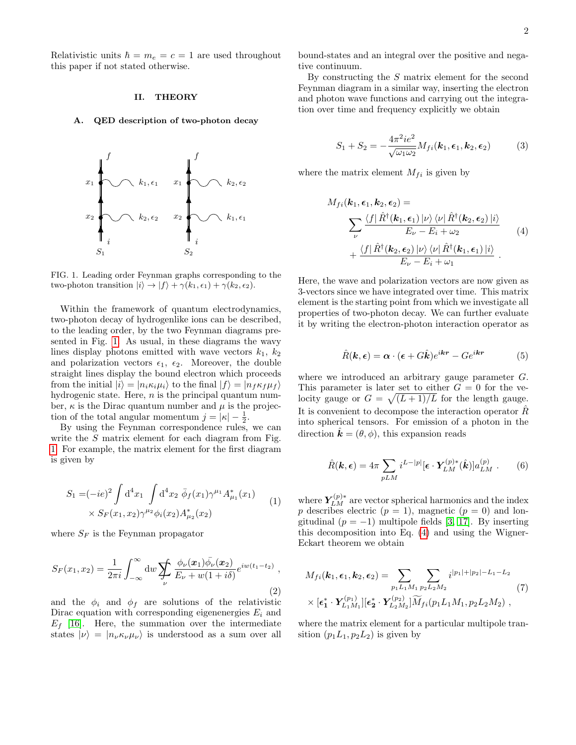Relativistic units  $\hbar = m_e = c = 1$  are used throughout this paper if not stated otherwise.

## II. THEORY

### <span id="page-1-0"></span>A. QED description of two-photon decay



<span id="page-1-1"></span>FIG. 1. Leading order Feynman graphs corresponding to the two-photon transition  $|i\rangle \rightarrow |f\rangle + \gamma(k_1, \epsilon_1) + \gamma(k_2, \epsilon_2)$ .

Within the framework of quantum electrodynamics, two-photon decay of hydrogenlike ions can be described, to the leading order, by the two Feynman diagrams presented in Fig. [1.](#page-1-1) As usual, in these diagrams the wavy lines display photons emitted with wave vectors  $k_1$ ,  $k_2$ and polarization vectors  $\epsilon_1$ ,  $\epsilon_2$ . Moreover, the double straight lines display the bound electron which proceeds from the initial  $|i\rangle = |n_i \kappa_i \mu_i\rangle$  to the final  $|f\rangle = |n_f \kappa_f \mu_f\rangle$ hydrogenic state. Here,  $n$  is the principal quantum number,  $\kappa$  is the Dirac quantum number and  $\mu$  is the projection of the total angular momentum  $j = |\kappa| - \frac{1}{2}$ .

By using the Feynman correspondence rules, we can write the S matrix element for each diagram from Fig. [1.](#page-1-1) For example, the matrix element for the first diagram is given by

$$
S_1 = (-ie)^2 \int d^4x_1 \int d^4x_2 \ \bar{\phi}_f(x_1) \gamma^{\mu_1} A^*_{\mu_1}(x_1) \times S_F(x_1, x_2) \gamma^{\mu_2} \phi_i(x_2) A^*_{\mu_2}(x_2)
$$
\n(1)

where  $S_F$  is the Feynman propagator

$$
S_F(x_1, x_2) = \frac{1}{2\pi i} \int_{-\infty}^{\infty} \mathrm{d}w \sum_{\nu} \frac{\phi_{\nu}(x_1) \bar{\phi}_{\nu}(x_2)}{E_{\nu} + w(1 + i\delta)} e^{iw(t_1 - t_2)}, \tag{2}
$$

and the  $\phi_i$  and  $\phi_f$  are solutions of the relativistic Dirac equation with corresponding eigenenergies  $E_i$  and  $E_f$  [\[16\]](#page-8-12). Here, the summation over the intermediate states  $|\nu\rangle = |n_{\nu}\kappa_{\nu}\mu_{\nu}\rangle$  is understood as a sum over all bound-states and an integral over the positive and negative continuum.

By constructing the S matrix element for the second Feynman diagram in a similar way, inserting the electron and photon wave functions and carrying out the integration over time and frequency explicitly we obtain

$$
S_1 + S_2 = -\frac{4\pi^2 i e^2}{\sqrt{\omega_1 \omega_2}} M_{fi}(\mathbf{k}_1, \boldsymbol{\epsilon}_1, \mathbf{k}_2, \boldsymbol{\epsilon}_2)
$$
(3)

where the matrix element  $M_{fi}$  is given by

<span id="page-1-2"></span>
$$
M_{fi}(\mathbf{k}_1, \boldsymbol{\epsilon}_1, \mathbf{k}_2, \boldsymbol{\epsilon}_2) =
$$
  

$$
\sum_{\nu} \frac{\langle f | \hat{R}^{\dagger}(\mathbf{k}_1, \boldsymbol{\epsilon}_1) | \nu \rangle \langle \nu | \hat{R}^{\dagger}(\mathbf{k}_2, \boldsymbol{\epsilon}_2) | i \rangle}{E_{\nu} - E_i + \omega_2}
$$
  

$$
+ \frac{\langle f | \hat{R}^{\dagger}(\mathbf{k}_2, \boldsymbol{\epsilon}_2) | \nu \rangle \langle \nu | \hat{R}^{\dagger}(\mathbf{k}_1, \boldsymbol{\epsilon}_1) | i \rangle}{E_{\nu} - E_i + \omega_1}.
$$
 (4)

Here, the wave and polarization vectors are now given as 3-vectors since we have integrated over time. This matrix element is the starting point from which we investigate all properties of two-photon decay. We can further evaluate it by writing the electron-photon interaction operator as

$$
\hat{R}(\mathbf{k}, \epsilon) = \alpha \cdot (\epsilon + G\hat{\mathbf{k}})e^{i\mathbf{k}\mathbf{r}} - Ge^{i\mathbf{k}\mathbf{r}} \tag{5}
$$

where we introduced an arbitrary gauge parameter G. This parameter is later set to either  $G = 0$  for the velocity gauge or  $G = \sqrt{\frac{(L+1)}{L}}$  for the length gauge. It is convenient to decompose the interaction operator  $\hat{R}$ into spherical tensors. For emission of a photon in the direction  $\hat{\mathbf{k}} = (\theta, \phi)$ , this expansion reads

$$
\hat{R}(\mathbf{k}, \epsilon) = 4\pi \sum_{pLM} i^{L-|p|} [\epsilon \cdot \mathbf{Y}_{LM}^{(p)*}(\hat{\mathbf{k}})] a_{LM}^{(p)} . \qquad (6)
$$

where  $Y_{LM}^{(p)*}$  are vector spherical harmonics and the index p describes electric  $(p = 1)$ , magnetic  $(p = 0)$  and longitudinal  $(p = -1)$  multipole fields [\[3,](#page-8-2) [17\]](#page-8-13). By inserting this decomposition into Eq. [\(4\)](#page-1-2) and using the Wigner-Eckart theorem we obtain

<span id="page-1-3"></span>
$$
M_{fi}(\mathbf{k}_1, \boldsymbol{\epsilon}_1, \mathbf{k}_2, \boldsymbol{\epsilon}_2) = \sum_{p_1 L_1 M_1} \sum_{p_2 L_2 M_2} i^{|p_1| + |p_2| - L_1 - L_2}
$$
  
× [ $\epsilon_1^* \cdot \mathbf{Y}_{L_1 M_1}^{(p_1)}][\epsilon_2^* \cdot \mathbf{Y}_{L_2 M_2}^{(p_2)}] \widetilde{M}_{fi}(p_1 L_1 M_1, p_2 L_2 M_2)$ , (7)

where the matrix element for a particular multipole transition  $(p_1L_1, p_2L_2)$  is given by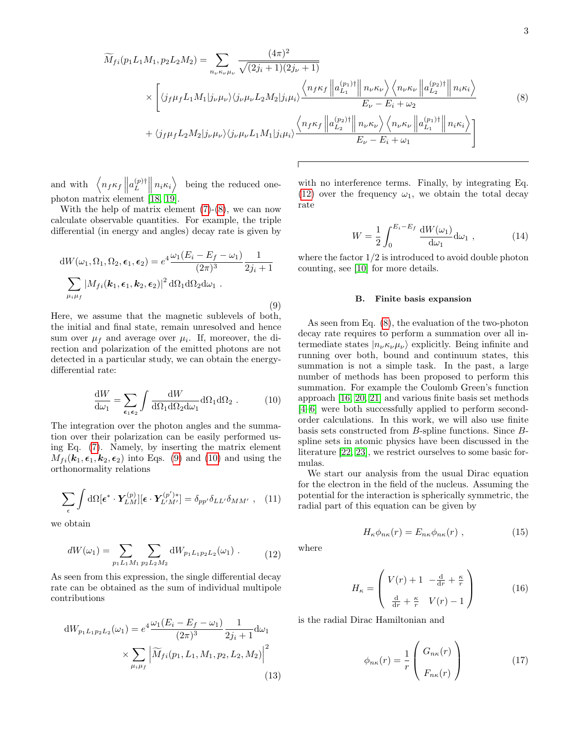<span id="page-2-1"></span>
$$
\widetilde{M}_{fi}(p_1L_1M_1, p_2L_2M_2) = \sum_{n_{\nu}\kappa_{\nu}\mu_{\nu}} \frac{(4\pi)^2}{\sqrt{(2j_i+1)(2j_{\nu}+1)}}
$$
\n
$$
\times \left[ \langle j_f\mu_f L_1M_1 | j_{\nu}\mu_{\nu} \rangle \langle j_{\nu}\mu_{\nu} L_2M_2 | j_i\mu_i \rangle \frac{\langle n_f\kappa_f ||a_{L_1}^{(p_1)\dagger} || n_{\nu}\kappa_{\nu} \rangle \langle n_{\nu}\kappa_{\nu} ||a_{L_2}^{(p_2)\dagger} || n_i\kappa_i \rangle}{E_{\nu} - E_i + \omega_2} + \langle j_f\mu_f L_2M_2 | j_{\nu}\mu_{\nu} \rangle \langle j_{\nu}\mu_{\nu} L_1M_1 | j_i\mu_i \rangle \frac{\langle n_f\kappa_f ||a_{L_2}^{(p_2)\dagger} || n_{\nu}\kappa_{\nu} \rangle \langle n_{\nu}\kappa_{\nu} ||a_{L_1}^{(p_1)\dagger} || n_i\kappa_i \rangle}{E_{\nu} - E_i + \omega_1} \right]
$$
\n(8)

and with  $n_f \kappa_f \parallel a_L^{(p)\dagger}$  $\left\| \begin{array}{c} (p)\dagger \\ L \end{array} \right\| n_i \kappa_i$ being the reduced onephoton matrix element [\[18,](#page-8-14) [19\]](#page-8-15).

With the help of matrix element  $(7)-(8)$  $(7)-(8)$  $(7)-(8)$ , we can now calculate observable quantities. For example, the triple differential (in energy and angles) decay rate is given by

<span id="page-2-2"></span>
$$
dW(\omega_1, \Omega_1, \Omega_2, \epsilon_1, \epsilon_2) = e^4 \frac{\omega_1 (E_i - E_f - \omega_1)}{(2\pi)^3} \frac{1}{2j_i + 1}
$$

$$
\sum_{\mu_i \mu_f} |M_{fi}(k_1, \epsilon_1, k_2, \epsilon_2)|^2 d\Omega_1 d\Omega_2 d\omega_1.
$$
(9)

Here, we assume that the magnetic sublevels of both, the initial and final state, remain unresolved and hence sum over  $\mu_f$  and average over  $\mu_i$ . If, moreover, the direction and polarization of the emitted photons are not detected in a particular study, we can obtain the energydifferential rate:

<span id="page-2-3"></span>
$$
\frac{dW}{d\omega_1} = \sum_{\epsilon_1 \epsilon_2} \int \frac{dW}{d\Omega_1 d\Omega_2 d\omega_1} d\Omega_1 d\Omega_2 . \tag{10}
$$

The integration over the photon angles and the summation over their polarization can be easily performed using Eq. [\(7\)](#page-1-3). Namely, by inserting the matrix element  $M_{fi}(\boldsymbol{k}_1, \boldsymbol{\epsilon}_1, \boldsymbol{k}_2, \boldsymbol{\epsilon}_2)$  into Eqs. [\(9\)](#page-2-2) and [\(10\)](#page-2-3) and using the orthonormality relations

$$
\sum_{\epsilon} \int d\Omega [\epsilon^* \cdot Y_{LM}^{(p)}] [\epsilon \cdot Y_{L'M'}^{(p')*}] = \delta_{pp'} \delta_{LL'} \delta_{MM'} , \quad (11)
$$

we obtain

<span id="page-2-4"></span>
$$
dW(\omega_1) = \sum_{p_1 L_1 M_1} \sum_{p_2 L_2 M_2} dW_{p_1 L_1 p_2 L_2}(\omega_1) \tag{12}
$$

As seen from this expression, the single differential decay rate can be obtained as the sum of individual multipole contributions

<span id="page-2-7"></span>
$$
dW_{p_1L_1p_2L_2}(\omega_1) = e^4 \frac{\omega_1 (E_i - E_f - \omega_1)}{(2\pi)^3} \frac{1}{2j_i + 1} d\omega_1
$$

$$
\times \sum_{\mu_i\mu_f} \left| \widetilde{M}_{fi}(p_1, L_1, M_1, p_2, L_2, M_2) \right|^2
$$
(13)

with no interference terms. Finally, by integrating Eq. [\(12\)](#page-2-4) over the frequency  $\omega_1$ , we obtain the total decay rate

<span id="page-2-6"></span>
$$
W = \frac{1}{2} \int_0^{E_i - E_f} \frac{\mathrm{d}W(\omega_1)}{\mathrm{d}\omega_1} \mathrm{d}\omega_1 , \qquad (14)
$$

where the factor  $1/2$  is introduced to avoid double photon counting, see [\[10\]](#page-8-6) for more details.

### <span id="page-2-0"></span>B. Finite basis expansion

As seen from Eq. [\(8\)](#page-2-1), the evaluation of the two-photon decay rate requires to perform a summation over all intermediate states  $|n_{\nu}\kappa_{\nu}\mu_{\nu}\rangle$  explicitly. Being infinite and running over both, bound and continuum states, this summation is not a simple task. In the past, a large number of methods has been proposed to perform this summation. For example the Coulomb Green's function approach [\[16,](#page-8-12) [20,](#page-8-16) [21\]](#page-8-17) and various finite basis set methods [\[4–](#page-8-3)[6\]](#page-8-4) were both successfully applied to perform secondorder calculations. In this work, we will also use finite basis sets constructed from B-spline functions. Since Bspline sets in atomic physics have been discussed in the literature [\[22,](#page-8-18) [23\]](#page-8-19), we restrict ourselves to some basic formulas.

We start our analysis from the usual Dirac equation for the electron in the field of the nucleus. Assuming the potential for the interaction is spherically symmetric, the radial part of this equation can be given by

$$
H_{\kappa}\phi_{n\kappa}(r) = E_{n\kappa}\phi_{n\kappa}(r) , \qquad (15)
$$

where

<span id="page-2-5"></span>
$$
H_{\kappa} = \begin{pmatrix} V(r) + 1 & -\frac{\mathrm{d}}{\mathrm{d}r} + \frac{\kappa}{r} \\ \frac{\mathrm{d}}{\mathrm{d}r} + \frac{\kappa}{r} & V(r) - 1 \end{pmatrix}
$$
 (16)

is the radial Dirac Hamiltonian and

$$
\phi_{n\kappa}(r) = \frac{1}{r} \begin{pmatrix} G_{n\kappa}(r) \\ F_{n\kappa}(r) \end{pmatrix}
$$
 (17)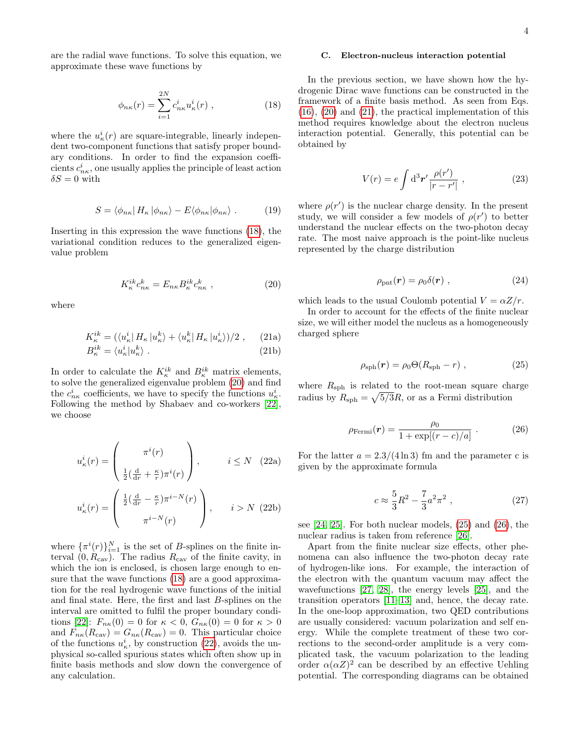are the radial wave functions. To solve this equation, we approximate these wave functions by

<span id="page-3-1"></span>
$$
\phi_{n\kappa}(r) = \sum_{i=1}^{2N} c_{n\kappa}^i u_\kappa^i(r) , \qquad (18)
$$

where the  $u^i_{\kappa}(r)$  are square-integrable, linearly independent two-component functions that satisfy proper boundary conditions. In order to find the expansion coefficients  $c_{n\kappa}^i$ , one usually applies the principle of least action  $\delta S = 0$  with

$$
S = \langle \phi_{n\kappa} | H_{\kappa} | \phi_{n\kappa} \rangle - E \langle \phi_{n\kappa} | \phi_{n\kappa} \rangle . \tag{19}
$$

Inserting in this expression the wave functions [\(18\)](#page-3-1), the variational condition reduces to the generalized eigenvalue problem

<span id="page-3-2"></span>
$$
K_{\kappa}^{ik}c_{n\kappa}^k = E_{n\kappa}B_{\kappa}^{ik}c_{n\kappa}^k \t{,} \t(20)
$$

<span id="page-3-4"></span>where

$$
K_{\kappa}^{ik} = (\langle u_{\kappa}^i | H_{\kappa} | u_{\kappa}^k \rangle + \langle u_{\kappa}^k | H_{\kappa} | u_{\kappa}^i \rangle)/2 , \qquad (21a)
$$
  

$$
B_{\kappa}^{ik} = \langle u_{\kappa}^i | u_{\kappa}^k \rangle . \qquad (21b)
$$

In order to calculate the  $K_{\kappa}^{ik}$  and  $B_{\kappa}^{ik}$  matrix elements, to solve the generalized eigenvalue problem [\(20\)](#page-3-2) and find the  $c_{n\kappa}^i$  coefficients, we have to specify the functions  $u_{\kappa}^i$ . Following the method by Shabaev and co-workers [\[22\]](#page-8-18), we choose

<span id="page-3-3"></span>
$$
u_{\kappa}^{i}(r) = \begin{pmatrix} \pi^{i}(r) \\ \frac{1}{2}(\frac{d}{dr} + \frac{\kappa}{r})\pi^{i}(r) \end{pmatrix}, \qquad i \leq N \quad (22a)
$$

$$
u_{\kappa}^{i}(r) = \begin{pmatrix} \frac{1}{2}(\frac{d}{dr} - \frac{\kappa}{r})\pi^{i-N}(r) \\ \pi^{i-N}(r) \end{pmatrix}, \qquad i > N \quad (22b)
$$

where  $\{\pi^i(r)\}_{i=1}^N$  is the set of *B*-splines on the finite interval  $(0, R_{\text{cav}})$ . The radius  $R_{\text{cav}}$  of the finite cavity, in which the ion is enclosed, is chosen large enough to ensure that the wave functions [\(18\)](#page-3-1) are a good approximation for the real hydrogenic wave functions of the initial and final state. Here, the first and last B-splines on the interval are omitted to fulfil the proper boundary condi-tions [\[22\]](#page-8-18):  $F_{n\kappa}(0) = 0$  for  $\kappa < 0$ ,  $G_{n\kappa}(0) = 0$  for  $\kappa > 0$ and  $F_{n\kappa}(R_{\text{cav}}) = G_{n\kappa}(R_{\text{cav}}) = 0$ . This particular choice of the functions  $u_{\kappa}^{i}$ , by construction [\(22\)](#page-3-3), avoids the unphysical so-called spurious states which often show up in finite basis methods and slow down the convergence of any calculation.

### <span id="page-3-0"></span>C. Electron-nucleus interaction potential

In the previous section, we have shown how the hydrogenic Dirac wave functions can be constructed in the framework of a finite basis method. As seen from Eqs.  $(16)$ ,  $(20)$  and  $(21)$ , the practical implementation of this method requires knowledge about the electron nucleus interaction potential. Generally, this potential can be obtained by

$$
V(r) = e \int d^3r' \frac{\rho(r')}{|r - r'|}, \qquad (23)
$$

where  $\rho(r')$  is the nuclear charge density. In the present study, we will consider a few models of  $\rho(r')$  to better understand the nuclear effects on the two-photon decay rate. The most naive approach is the point-like nucleus represented by the charge distribution

$$
\rho_{\rm{pnt}}(\mathbf{r}) = \rho_0 \delta(\mathbf{r}) \tag{24}
$$

which leads to the usual Coulomb potential  $V = \alpha Z/r$ .

In order to account for the effects of the finite nuclear size, we will either model the nucleus as a homogeneously charged sphere

<span id="page-3-5"></span>
$$
\rho_{\rm sph}(\boldsymbol{r}) = \rho_0 \Theta(R_{\rm sph} - r) \;, \tag{25}
$$

where  $R_{\rm sph}$  is related to the root-mean square charge radius by  $R_{\rm sph} = \sqrt{5/3}R$ , or as a Fermi distribution

<span id="page-3-6"></span>
$$
\rho_{\text{Fermi}}(\boldsymbol{r}) = \frac{\rho_0}{1 + \exp[(r - c)/a]} \ . \tag{26}
$$

For the latter  $a = 2.3/(4 \ln 3)$  fm and the parameter c is given by the approximate formula

$$
c \approx \frac{5}{3}R^2 - \frac{7}{3}a^2\pi^2 \;, \tag{27}
$$

see  $[24, 25]$  $[24, 25]$ . For both nuclear models,  $(25)$  and  $(26)$ , the nuclear radius is taken from reference [\[26\]](#page-9-0).

Apart from the finite nuclear size effects, other phenomena can also influence the two-photon decay rate of hydrogen-like ions. For example, the interaction of the electron with the quantum vacuum may affect the wavefunctions [\[27,](#page-9-1) [28\]](#page-9-2), the energy levels [\[25\]](#page-8-21), and the transition operators [\[11](#page-8-7)[–13\]](#page-8-8) and, hence, the decay rate. In the one-loop approximation, two QED contributions are usually considered: vacuum polarization and self energy. While the complete treatment of these two corrections to the second-order amplitude is a very complicated task, the vacuum polarization to the leading order  $\alpha(\alpha Z)^2$  can be described by an effective Uehling potential. The corresponding diagrams can be obtained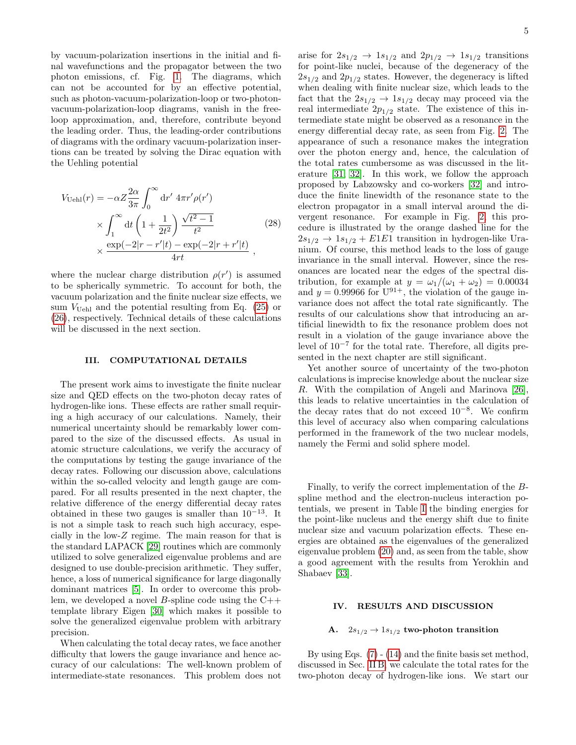by vacuum-polarization insertions in the initial and final wavefunctions and the propagator between the two photon emissions, cf. Fig. [1.](#page-1-1) The diagrams, which can not be accounted for by an effective potential, such as photon-vacuum-polarization-loop or two-photonvacuum-polarization-loop diagrams, vanish in the freeloop approximation, and, therefore, contribute beyond the leading order. Thus, the leading-order contributions of diagrams with the ordinary vacuum-polarization insertions can be treated by solving the Dirac equation with the Uehling potential

<span id="page-4-2"></span>
$$
V_{\text{Uehl}}(r) = -\alpha Z \frac{2\alpha}{3\pi} \int_0^\infty dr' \, 4\pi r' \rho(r') \times \int_1^\infty dt \left( 1 + \frac{1}{2t^2} \right) \frac{\sqrt{t^2 - 1}}{t^2} \times \frac{\exp(-2|r - r'|t) - \exp(-2|r + r'|t)}{4rt} ,
$$
 (28)

where the nuclear charge distribution  $\rho(r')$  is assumed to be spherically symmetric. To account for both, the vacuum polarization and the finite nuclear size effects, we sum  $V_{\text{Uehl}}$  and the potential resulting from Eq. [\(25\)](#page-3-5) or [\(26\)](#page-3-6), respectively. Technical details of these calculations will be discussed in the next section.

# <span id="page-4-0"></span>III. COMPUTATIONAL DETAILS

The present work aims to investigate the finite nuclear size and QED effects on the two-photon decay rates of hydrogen-like ions. These effects are rather small requiring a high accuracy of our calculations. Namely, their numerical uncertainty should be remarkably lower compared to the size of the discussed effects. As usual in atomic structure calculations, we verify the accuracy of the computations by testing the gauge invariance of the decay rates. Following our discussion above, calculations within the so-called velocity and length gauge are compared. For all results presented in the next chapter, the relative difference of the energy differential decay rates obtained in these two gauges is smaller than  $10^{-13}$ . It is not a simple task to reach such high accuracy, especially in the low-Z regime. The main reason for that is the standard LAPACK [\[29\]](#page-9-3) routines which are commonly utilized to solve generalized eigenvalue problems and are designed to use double-precision arithmetic. They suffer, hence, a loss of numerical significance for large diagonally dominant matrices [\[5\]](#page-8-22). In order to overcome this problem, we developed a novel *B*-spline code using the  $C++$ template library Eigen [\[30\]](#page-9-4) which makes it possible to solve the generalized eigenvalue problem with arbitrary precision.

When calculating the total decay rates, we face another difficulty that lowers the gauge invariance and hence accuracy of our calculations: The well-known problem of intermediate-state resonances. This problem does not

arise for  $2s_{1/2} \rightarrow 1s_{1/2}$  and  $2p_{1/2} \rightarrow 1s_{1/2}$  transitions for point-like nuclei, because of the degeneracy of the  $2s_{1/2}$  and  $2p_{1/2}$  states. However, the degeneracy is lifted when dealing with finite nuclear size, which leads to the fact that the  $2s_{1/2} \rightarrow 1s_{1/2}$  decay may proceed via the real intermediate  $2p_{1/2}$  state. The existence of this intermediate state might be observed as a resonance in the energy differential decay rate, as seen from Fig. [2.](#page-5-0) The appearance of such a resonance makes the integration over the photon energy and, hence, the calculation of the total rates cumbersome as was discussed in the literature [\[31,](#page-9-5) [32\]](#page-9-6). In this work, we follow the approach proposed by Labzowsky and co-workers [\[32\]](#page-9-6) and introduce the finite linewidth of the resonance state to the electron propagator in a small interval around the divergent resonance. For example in Fig. [2,](#page-5-0) this procedure is illustrated by the orange dashed line for the  $2s_{1/2} \rightarrow 1s_{1/2} + E1E1$  transition in hydrogen-like Uranium. Of course, this method leads to the loss of gauge invariance in the small interval. However, since the resonances are located near the edges of the spectral distribution, for example at  $y = \omega_1/(\omega_1 + \omega_2) = 0.00034$ and  $y = 0.99966$  for  $U^{91+}$ , the violation of the gauge invariance does not affect the total rate significantly. The results of our calculations show that introducing an artificial linewidth to fix the resonance problem does not result in a violation of the gauge invariance above the level of 10<sup>−</sup><sup>7</sup> for the total rate. Therefore, all digits presented in the next chapter are still significant.

Yet another source of uncertainty of the two-photon calculations is imprecise knowledge about the nuclear size R. With the compilation of Angeli and Marinova [\[26\]](#page-9-0), this leads to relative uncertainties in the calculation of the decay rates that do not exceed  $10^{-8}$ . We confirm this level of accuracy also when comparing calculations performed in the framework of the two nuclear models, namely the Fermi and solid sphere model.

Finally, to verify the correct implementation of the Bspline method and the electron-nucleus interaction potentials, we present in Table [I](#page-5-1) the binding energies for the point-like nucleus and the energy shift due to finite nuclear size and vacuum polarization effects. These energies are obtained as the eigenvalues of the generalized eigenvalue problem [\(20\)](#page-3-2) and, as seen from the table, show a good agreement with the results from Yerokhin and Shabaev [\[33\]](#page-9-7).

# <span id="page-4-1"></span>IV. RESULTS AND DISCUSSION

# A.  $2s_{1/2} \rightarrow 1s_{1/2}$  two-photon transition

By using Eqs. [\(7\)](#page-1-3) - [\(14\)](#page-2-6) and the finite basis set method, discussed in Sec. [II B,](#page-2-0) we calculate the total rates for the two-photon decay of hydrogen-like ions. We start our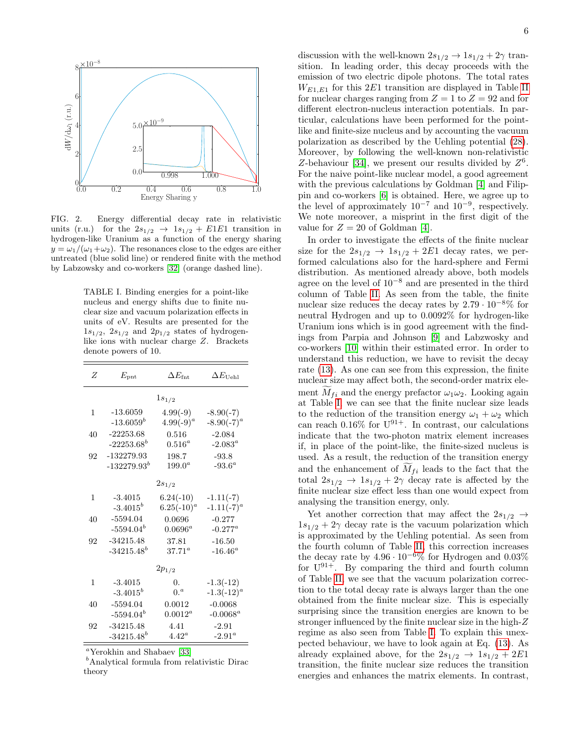

<span id="page-5-0"></span>FIG. 2. Energy differential decay rate in relativistic units (r.u.) for the  $2s_{1/2} \rightarrow 1s_{1/2} + E1E1$  transition in hydrogen-like Uranium as a function of the energy sharing  $y = \omega_1/(\omega_1 + \omega_2)$ . The resonances close to the edges are either untreated (blue solid line) or rendered finite with the method by Labzowsky and co-workers [\[32\]](#page-9-6) (orange dashed line).

<span id="page-5-1"></span>TABLE I. Binding energies for a point-like nucleus and energy shifts due to finite nuclear size and vacuum polarization effects in units of eV. Results are presented for the  $1s_{1/2}$ ,  $2s_{1/2}$  and  $2p_{1/2}$  states of hydrogenlike ions with nuclear charge Z. Brackets denote powers of 10.

| Z          | $E_{\rm{pnt}}$  | $\Delta E_{\rm{fnt}}$ | $\Delta E$ Uebl |
|------------|-----------------|-----------------------|-----------------|
|            |                 | $1s_{1/2}$            |                 |
| 1          | $-13.6059$      | $4.99(-9)$            | $-8.90(-7)$     |
|            | $-13.6059^b$    | $4.99(-9)^{a}$        | $-8.90(-7)^{a}$ |
| 40         | $-22253.68$     | 0.516                 | $-2.084$        |
|            | $-22253.68^b$   | $0.516^a$             | $-2.083^a$      |
| 92         | $-132279.93$    | 198.7                 | $-93.8$         |
|            | $-132279.93^b$  | $199.0^a$             | $-93.6^a$       |
|            |                 | $2s_{1/2}$            |                 |
| 1          | $-3.4015$       | $6.24(-10)$           | $-1.11(-7)$     |
|            | $-3.4015^b$     | $6.25(-10)^{a}$       | $-1.11(-7)^{a}$ |
| 40         | $-5594.04$      | 0.0696                | $-0.277$        |
|            | $-5594.04^b$    | $0.0696^a$            | $-0.277^a$      |
| 92         | $-34215.48$     | 37.81                 | $-16.50$        |
|            | $-34215.48^{b}$ | $37.71^{\circ}$       | $-16.46^a$      |
| $2p_{1/2}$ |                 |                       |                 |
| 1          | $-3.4015$       | 0.                    | $-1.3(-12)$     |
|            | $-3.4015^b$     | 0 <sup>a</sup>        | $-1.3(-12)^{a}$ |
| 40         | $-5594.04$      | 0.0012                | $-0.0068$       |
|            | $-5594.04^b$    | $0.0012^a$            | $-0.0068^a$     |
| 92         | $-34215.48$     | 4.41                  | $-2.91$         |
|            | $-34215.48^{b}$ | $4.42^{\circ}$        | $-2.91^{\circ}$ |

 $a$ <sup>a</sup>Yerokhin and Shabaev [\[33\]](#page-9-7)

 $<sup>b</sup>$ Analytical formula from relativistic Dirac</sup> theory

6

discussion with the well-known  $2s_{1/2} \rightarrow 1s_{1/2} + 2\gamma$  transition. In leading order, this decay proceeds with the emission of two electric dipole photons. The total rates  $W_{E1,E1}$  for this 2E1 transition are displayed in Table [II](#page-6-0) for nuclear charges ranging from  $Z = 1$  to  $Z = 92$  and for different electron-nucleus interaction potentials. In particular, calculations have been performed for the pointlike and finite-size nucleus and by accounting the vacuum polarization as described by the Uehling potential [\(28\)](#page-4-2). Moreover, by following the well-known non-relativistic Z-behaviour [\[34\]](#page-9-8), we present our results divided by  $Z^6$ . For the naive point-like nuclear model, a good agreement with the previous calculations by Goldman [\[4\]](#page-8-3) and Filippin and co-workers [\[6\]](#page-8-4) is obtained. Here, we agree up to the level of approximately  $10^{-7}$  and  $10^{-9}$ , respectively. We note moreover, a misprint in the first digit of the value for  $Z = 20$  of Goldman [\[4\]](#page-8-3).

In order to investigate the effects of the finite nuclear size for the  $2s_{1/2} \rightarrow 1s_{1/2} + 2E1$  decay rates, we performed calculations also for the hard-sphere and Fermi distribution. As mentioned already above, both models agree on the level of  $10^{-8}$  and are presented in the third column of Table [II.](#page-6-0) As seen from the table, the finite nuclear size reduces the decay rates by  $2.79 \cdot 10^{-8}\%$  for neutral Hydrogen and up to 0.0092% for hydrogen-like Uranium ions which is in good agreement with the findings from Parpia and Johnson [\[9\]](#page-8-11) and Labzwosky and co-workers [\[10\]](#page-8-6) within their estimated error. In order to understand this reduction, we have to revisit the decay rate [\(13\)](#page-2-7). As one can see from this expression, the finite nuclear size may affect both, the second-order matrix element  $M_{fi}$  and the energy prefactor  $\omega_1\omega_2$ . Looking again at Table [I,](#page-5-1) we can see that the finite nuclear size leads to the reduction of the transition energy  $\omega_1 + \omega_2$  which can reach  $0.16\%$  for  $U^{91+}$ . In contrast, our calculations indicate that the two-photon matrix element increases if, in place of the point-like, the finite-sized nucleus is used. As a result, the reduction of the transition energy and the enhancement of  $M_{fi}$  leads to the fact that the total  $2s_{1/2} \rightarrow 1s_{1/2} + 2\gamma$  decay rate is affected by the finite nuclear size effect less than one would expect from analysing the transition energy, only.

Yet another correction that may affect the  $2s_{1/2} \rightarrow$  $1s_{1/2} + 2\gamma$  decay rate is the vacuum polarization which is approximated by the Uehling potential. As seen from the fourth column of Table [II,](#page-6-0) this correction increases the decay rate by  $4.96 \cdot 10^{-6}\%$  for Hydrogen and  $0.03\%$ for  $U^{91+}$ . By comparing the third and fourth column of Table [II,](#page-6-0) we see that the vacuum polarization correction to the total decay rate is always larger than the one obtained from the finite nuclear size. This is especially surprising since the transition energies are known to be stronger influenced by the finite nuclear size in the high-Z regime as also seen from Table [I.](#page-5-1) To explain this unexpected behaviour, we have to look again at Eq. [\(13\)](#page-2-7). As already explained above, for the  $2s_{1/2} \rightarrow 1s_{1/2} + 2E1$ transition, the finite nuclear size reduces the transition energies and enhances the matrix elements. In contrast,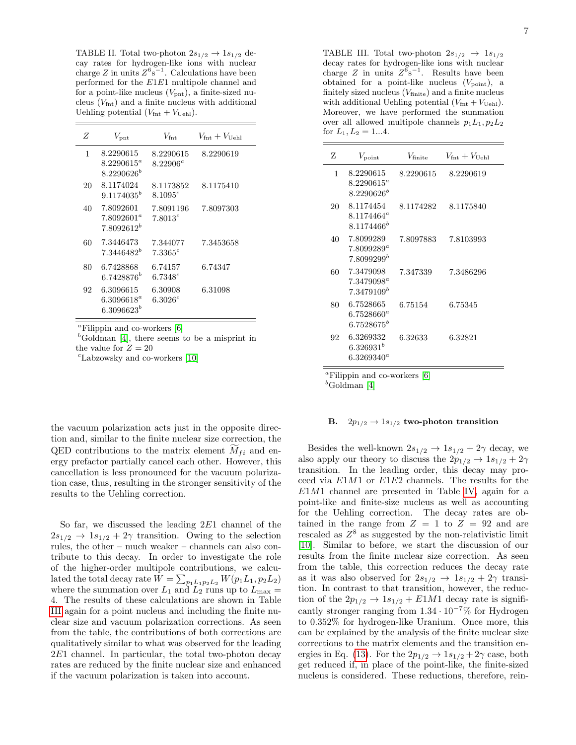<span id="page-6-0"></span>TABLE II. Total two-photon  $2s_{1/2} \rightarrow 1s_{1/2}$  decay rates for hydrogen-like ions with nuclear charge  $Z$  in units  $Z^{6}$ s<sup>-1</sup>. Calculations have been performed for the E1E1 multipole channel and for a point-like nucleus  $(V_{\text{pnt}})$ , a finite-sized nucleus  $(V_{\text{fnt}})$  and a finite nucleus with additional Uehling potential  $(V_{\text{fnt}} + V_{\text{Uehl}})$ .

| Ζ  | $V_{\mathrm{pnt}}$                            | $V_{\rm{fnt}}$           | $V_{\rm{fnt}}+V_{\rm{Ueh1}}$ |
|----|-----------------------------------------------|--------------------------|------------------------------|
| 1  | 8.2290615<br>$8.2290615^a$<br>$8.2290626^{b}$ | 8.2290615<br>$8.22906^c$ | 8.2290619                    |
| 20 | 8.1174024<br>$9.1174035^b$                    | 8.1173852<br>$8.1095^c$  | 8.1175410                    |
| 40 | 7.8092601<br>$7.8092601^a$<br>$7.8092612^b$   | 7.8091196<br>$7.8013^c$  | 7.8097303                    |
| 60 | 7.3446473<br>7.3446482 <sup>b</sup>           | 7.344077<br>$7.3365^c$   | 7.3453658                    |
| 80 | 6.7428868<br>$6.7428876^{b}$                  | 6.74157<br>$6.7348^c$    | 6.74347                      |
| 92 | 6.3096615<br>$6.3096618^a$<br>$6.3096623^{b}$ | 6.30908<br>$6.3026^c$    | 6.31098                      |

 ${}^a$ Filippin and co-workers [\[6\]](#page-8-4)

 $<sup>b</sup>$ Goldman [\[4\]](#page-8-3), there seems to be a misprint in</sup> the value for  $Z = 20$ 

 $c$ Labzowsky and co-workers [\[10\]](#page-8-6)

the vacuum polarization acts just in the opposite direction and, similar to the finite nuclear size correction, the QED contributions to the matrix element  $\widetilde{M}_{fi}$  and energy prefactor partially cancel each other. However, this cancellation is less pronounced for the vacuum polarization case, thus, resulting in the stronger sensitivity of the results to the Uehling correction.

So far, we discussed the leading 2E1 channel of the  $2s_{1/2} \rightarrow 1s_{1/2} + 2\gamma$  transition. Owing to the selection rules, the other – much weaker – channels can also contribute to this decay. In order to investigate the role of the higher-order multipole contributions, we calculated the total decay rate  $W = \sum_{p_1, p_2, p_3} W(p_1, p_2, p_3)$ where the summation over  $L_1$  and  $L_2$  runs up to  $L_{\text{max}} =$ 4. The results of these calculations are shown in Table [III](#page-6-1) again for a point nucleus and including the finite nuclear size and vacuum polarization corrections. As seen from the table, the contributions of both corrections are qualitatively similar to what was observed for the leading 2E1 channel. In particular, the total two-photon decay rates are reduced by the finite nuclear size and enhanced if the vacuum polarization is taken into account.

<span id="page-6-1"></span>TABLE III. Total two-photon  $2s_{1/2} \rightarrow 1s_{1/2}$ decay rates for hydrogen-like ions with nuclear charge Z in units  $Z^6s^{-1}$ . Results have been obtained for a point-like nucleus  $(V_{\text{point}})$ , a finitely sized nucleus  $(V_{\text{finite}})$  and a finite nucleus with additional Uehling potential  $(V_{\text{fnt}} + V_{\text{Uehl}})$ . Moreover, we have performed the summation over all allowed multipole channels  $p_1L_1, p_2L_2$ for  $L_1, L_2 = 1...4$ .

| Z  | $V_{\rm point}$                               | $V_{\rm finite}$ | $V_{\rm{fnt}}+V_{\rm{Hehl}}$ |
|----|-----------------------------------------------|------------------|------------------------------|
| 1  | 8.2290615<br>$8.2290615^a$<br>$8.2290626^b$   | 8.2290615        | 8.2290619                    |
| 20 | 8.1174454<br>$8.1174464^a$<br>$8.1174466^{b}$ | 8.1174282        | 8.1175840                    |
| 40 | 7.8099289<br>$7.8099289^a$<br>$7.8099299^b$   | 7.8097883        | 7.8103993                    |
| 60 | 7.3479098<br>$7.3479098^a$<br>$7.3479109^b$   | 7.347339         | 7.3486296                    |
| 80 | 6.7528665<br>$6.7528660^a$<br>$6.7528675^{b}$ | 6.75154          | 6.75345                      |
| 92 | 6.3269332<br>$6.326931^{b}$<br>$6.3269340^a$  | 6.32633          | 6.32821                      |

 ${}^a$ Filippin and co-workers [\[6\]](#page-8-4)

 $b$ Goldman [\[4\]](#page-8-3)

## B.  $2p_{1/2} \rightarrow 1s_{1/2}$  two-photon transition

Besides the well-known  $2s_{1/2} \rightarrow 1s_{1/2} + 2\gamma$  decay, we also apply our theory to discuss the  $2p_{1/2} \rightarrow 1s_{1/2} + 2\gamma$ transition. In the leading order, this decay may proceed via E1M1 or E1E2 channels. The results for the  $E1M1$  channel are presented in Table [IV,](#page-7-1) again for a point-like and finite-size nucleus as well as accounting for the Uehling correction. The decay rates are obtained in the range from  $Z = 1$  to  $Z = 92$  and are rescaled as  $Z^8$  as suggested by the non-relativistic limit [\[10\]](#page-8-6). Similar to before, we start the discussion of our results from the finite nuclear size correction. As seen from the table, this correction reduces the decay rate as it was also observed for  $2s_{1/2} \rightarrow 1s_{1/2} + 2\gamma$  transition. In contrast to that transition, however, the reduction of the  $2p_{1/2} \rightarrow 1s_{1/2} + E1M1$  decay rate is significantly stronger ranging from  $1.34 \cdot 10^{-7}\%$  for Hydrogen to 0.352% for hydrogen-like Uranium. Once more, this can be explained by the analysis of the finite nuclear size corrections to the matrix elements and the transition en-ergies in Eq. [\(13\)](#page-2-7). For the  $2p_{1/2} \rightarrow 1s_{1/2} + 2\gamma$  case, both get reduced if, in place of the point-like, the finite-sized nucleus is considered. These reductions, therefore, rein-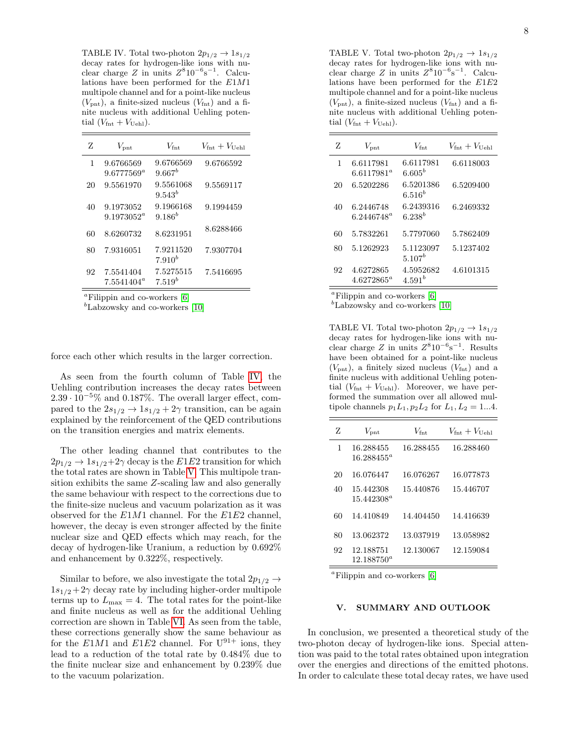<span id="page-7-1"></span>TABLE IV. Total two-photon  $2p_{1/2} \rightarrow 1s_{1/2}$ decay rates for hydrogen-like ions with nuclear charge  $Z$  in units  $Z^8 10^{-6}$ s<sup>-1</sup>. Calculations have been performed for the E1M1 multipole channel and for a point-like nucleus  $(V_{\text{pnt}})$ , a finite-sized nucleus  $(V_{\text{fnt}})$  and a finite nucleus with additional Uehling potential  $(V_{\text{fnt}} + V_{\text{Uehl}})$ .

| Z  | $V_{\mathrm{ont}}$         | $V_{\rm{fnt}}$           | $V_{\rm{fnt}}+V_{\rm{Hehl}}$ |
|----|----------------------------|--------------------------|------------------------------|
| 1  | 9.6766569<br>$9.6777569^a$ | 9.6766569<br>$9.667^b$   | 9.6766592                    |
| 20 | 9.5561970                  | 9.5561068<br>$9.543^{b}$ | 9.5569117                    |
| 40 | 9.1973052<br>$9.1973052^a$ | 9.1966168<br>$9.186^{b}$ | 9.1994459                    |
| 60 | 8.6260732                  | 8.6231951                | 8.6288466                    |
| 80 | 7.9316051                  | 7.9211520<br>$7.910^{b}$ | 7.9307704                    |
| 92 | 7.5541404<br>$7.5541404^a$ | 7.5275515<br>$7.519^{b}$ | 7.5416695                    |

 ${}^a$ Filippin and co-workers [\[6\]](#page-8-4)

 $b_{\text{Labzowsky}}$  and co-workers [\[10\]](#page-8-6)

force each other which results in the larger correction.

As seen from the fourth column of Table [IV,](#page-7-1) the Uehling contribution increases the decay rates between <sup>2</sup>.<sup>39</sup> · <sup>10</sup><sup>−</sup>5% and 0.187%. The overall larger effect, compared to the  $2s_{1/2} \rightarrow 1s_{1/2} + 2\gamma$  transition, can be again explained by the reinforcement of the QED contributions on the transition energies and matrix elements.

The other leading channel that contributes to the  $2p_{1/2} \rightarrow 1s_{1/2}+2\gamma$  decay is the E1E2 transition for which the total rates are shown in Table [V.](#page-7-2) This multipole transition exhibits the same Z-scaling law and also generally the same behaviour with respect to the corrections due to the finite-size nucleus and vacuum polarization as it was observed for the  $E1M1$  channel. For the  $E1E2$  channel, however, the decay is even stronger affected by the finite nuclear size and QED effects which may reach, for the decay of hydrogen-like Uranium, a reduction by 0.692% and enhancement by 0.322%, respectively.

Similar to before, we also investigate the total  $2p_{1/2} \rightarrow$  $1s_{1/2}+2\gamma$  decay rate by including higher-order multipole terms up to  $L_{\text{max}} = 4$ . The total rates for the point-like and finite nucleus as well as for the additional Uehling correction are shown in Table [VI.](#page-7-3) As seen from the table, these corrections generally show the same behaviour as for the  $E1M1$  and  $E1E2$  channel. For  $U^{91+}$  ions, they lead to a reduction of the total rate by 0.484% due to the finite nuclear size and enhancement by 0.239% due to the vacuum polarization.

<span id="page-7-2"></span>TABLE V. Total two-photon  $2p_{1/2} \rightarrow 1s_{1/2}$ decay rates for hydrogen-like ions with nuclear charge  $Z$  in units  $Z^8 10^{-6}$ s<sup>-1</sup>. Calculations have been performed for the E1E2 multipole channel and for a point-like nucleus  $(V_{\text{pnt}})$ , a finite-sized nucleus  $(V_{\text{fnt}})$  and a finite nucleus with additional Uehling potential  $(V_{\text{fnt}} + V_{\text{Uehl}})$ .

| Z  | $V_{\mathrm{pnt}}$         | $V_{\rm frt}$            | $V_{\rm{fnt}}+V_{\rm{Hehl}}$ |
|----|----------------------------|--------------------------|------------------------------|
| 1  | 6.6117981<br>$6.6117981^a$ | 6.6117981<br>$6.605^{b}$ | 6.6118003                    |
| 20 | 6.5202286                  | 6.5201386<br>$6.516^{b}$ | 6.5209400                    |
| 40 | 6.2446748<br>$6.2446748^a$ | 6.2439316<br>$6.238^{b}$ | 6.2469332                    |
| 60 | 5.7832261                  | 5.7797060                | 5.7862409                    |
| 80 | 5.1262923                  | 5.1123097<br>$5.107^{b}$ | 5.1237402                    |
| 92 | 4.6272865<br>$4.6272865^a$ | 4.5952682<br>$4.591^{b}$ | 4.6101315                    |

<sup>a</sup>Filippin and co-workers  $[6]$ 

 $b$ Labzowsky and co-workers [\[10\]](#page-8-6)

<span id="page-7-3"></span>TABLE VI. Total two-photon  $2p_{1/2} \rightarrow 1s_{1/2}$ decay rates for hydrogen-like ions with nuclear charge  $Z$  in units  $Z^8 10^{-6}$ s<sup>-1</sup>. Results have been obtained for a point-like nucleus  $(V_{\text{ent}})$ , a finitely sized nucleus  $(V_{\text{fnt}})$  and a finite nucleus with additional Uehling potential  $(V_{\text{fnt}} + V_{\text{Uehl}})$ . Moreover, we have performed the summation over all allowed multipole channels  $p_1L_1, p_2L_2$  for  $L_1, L_2 = 1...4$ .

| Z  | $V_{\mathrm{ont}}$         | $V_{\rm{fnt}}$ | $V_{\rm{fnt}}+V_{\rm{Hoh1}}$ |
|----|----------------------------|----------------|------------------------------|
| 1  | 16.288455<br>$16.288455^a$ | 16.288455      | 16.288460                    |
| 20 | 16.076447                  | 16.076267      | 16.077873                    |
| 40 | 15.442308<br>$15.442308^a$ | 15.440876      | 15.446707                    |
| 60 | 14.410849                  | 14.404450      | 14.416639                    |
| 80 | 13.062372                  | 13.037919      | 13.058982                    |
| 92 | 12.188751<br>$12.188750^a$ | 12.130067      | 12.159084                    |

 ${}^a$ Filippin and co-workers [\[6\]](#page-8-4)

### <span id="page-7-0"></span>V. SUMMARY AND OUTLOOK

In conclusion, we presented a theoretical study of the two-photon decay of hydrogen-like ions. Special attention was paid to the total rates obtained upon integration over the energies and directions of the emitted photons. In order to calculate these total decay rates, we have used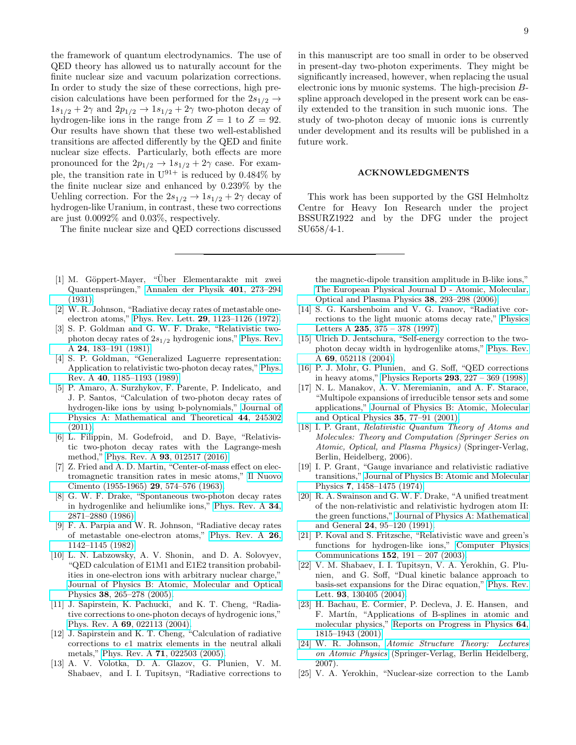the framework of quantum electrodynamics. The use of QED theory has allowed us to naturally account for the finite nuclear size and vacuum polarization corrections. In order to study the size of these corrections, high precision calculations have been performed for the  $2s_{1/2} \rightarrow$  $1s_{1/2} + 2\gamma$  and  $2p_{1/2} \rightarrow 1s_{1/2} + 2\gamma$  two-photon decay of hydrogen-like ions in the range from  $Z = 1$  to  $Z = 92$ . Our results have shown that these two well-established transitions are affected differently by the QED and finite nuclear size effects. Particularly, both effects are more pronounced for the  $2p_{1/2} \rightarrow 1s_{1/2} + 2\gamma$  case. For example, the transition rate in  $U^{91+}$  is reduced by 0.484% by the finite nuclear size and enhanced by 0.239% by the Uehling correction. For the  $2s_{1/2} \rightarrow 1s_{1/2} + 2\gamma$  decay of hydrogen-like Uranium, in contrast, these two corrections are just 0.0092% and 0.03%, respectively.

The finite nuclear size and QED corrections discussed

- <span id="page-8-0"></span>[1] M. Göppert-Mayer, "Über Elementarakte mit zwei Quantensprüngen," [Annalen der Physik](http://dx.doi.org/ 10.1002/andp.19314010303) 401, 273–294 [\(1931\).](http://dx.doi.org/ 10.1002/andp.19314010303)
- <span id="page-8-1"></span>[2] W. R. Johnson, "Radiative decay rates of metastable oneelectron atoms," Phys. Rev. Lett. 29[, 1123–1126 \(1972\).](http://dx.doi.org/ 10.1103/PhysRevLett.29.1123)
- <span id="page-8-2"></span>[3] S. P. Goldman and G. W. F. Drake, "Relativistic twophoton decay rates of  $2s_{1/2}$  hydrogenic ions," [Phys. Rev.](http://dx.doi.org/ 10.1103/PhysRevA.24.183) A 24[, 183–191 \(1981\).](http://dx.doi.org/ 10.1103/PhysRevA.24.183)
- <span id="page-8-3"></span>[4] S. P. Goldman, "Generalized Laguerre representation: Application to relativistic two-photon decay rates," [Phys.](http://dx.doi.org/10.1103/PhysRevA.40.1185) Rev. A 40[, 1185–1193 \(1989\).](http://dx.doi.org/10.1103/PhysRevA.40.1185)
- <span id="page-8-22"></span>[5] P. Amaro, A. Surzhykov, F. Parente, P. Indelicato, and J. P. Santos, "Calculation of two-photon decay rates of hydrogen-like ions by using b-polynomials," [Journal of](http://dx.doi.org/ 10.1088/1751-8113/44/24/245302) [Physics A: Mathematical and Theoretical](http://dx.doi.org/ 10.1088/1751-8113/44/24/245302) 44, 245302 [\(2011\).](http://dx.doi.org/ 10.1088/1751-8113/44/24/245302)
- <span id="page-8-4"></span>[6] L. Filippin, M. Godefroid, and D. Baye, "Relativistic two-photon decay rates with the Lagrange-mesh method," Phys. Rev. A 93[, 012517 \(2016\).](http://dx.doi.org/ 10.1103/PhysRevA.93.012517)
- <span id="page-8-5"></span>[7] Z. Fried and A. D. Martin, "Center-of-mass effect on electromagnetic transition rates in mesic atoms," [Il Nuovo](http://dx.doi.org/10.1007/BF02750379) [Cimento \(1955-1965\)](http://dx.doi.org/10.1007/BF02750379) 29, 574–576 (1963).
- [8] G. W. F. Drake, "Spontaneous two-photon decay rates in hydrogenlike and heliumlike ions," [Phys. Rev. A](http://dx.doi.org/10.1103/PhysRevA.34.2871) 34, [2871–2880 \(1986\).](http://dx.doi.org/10.1103/PhysRevA.34.2871)
- <span id="page-8-11"></span>[9] F. A. Parpia and W. R. Johnson, "Radiative decay rates of metastable one-electron atoms," [Phys. Rev. A](http://dx.doi.org/ 10.1103/PhysRevA.26.1142) 26, [1142–1145 \(1982\).](http://dx.doi.org/ 10.1103/PhysRevA.26.1142)
- <span id="page-8-6"></span>[10] L. N. Labzowsky, A. V. Shonin, and D. A. Solovyev, "QED calculation of E1M1 and E1E2 transition probabilities in one-electron ions with arbitrary nuclear charge," [Journal of Physics B: Atomic, Molecular and Optical](http://dx.doi.org/ 10.1088/0953-4075/38/3/010) Physics 38[, 265–278 \(2005\).](http://dx.doi.org/ 10.1088/0953-4075/38/3/010)
- <span id="page-8-7"></span>[11] J. Sapirstein, K. Pachucki, and K. T. Cheng, "Radiative corrections to one-photon decays of hydrogenic ions," Phys. Rev. A 69[, 022113 \(2004\).](http://dx.doi.org/ 10.1103/PhysRevA.69.022113)
- [12] J. Sapirstein and K. T. Cheng, "Calculation of radiative corrections to e1 matrix elements in the neutral alkali metals," Phys. Rev. A 71[, 022503 \(2005\).](http://dx.doi.org/10.1103/PhysRevA.71.022503)
- <span id="page-8-8"></span>[13] A. V. Volotka, D. A. Glazov, G. Plunien, V. M. Shabaev, and I. I. Tupitsyn, "Radiative corrections to

in this manuscript are too small in order to be observed in present-day two-photon experiments. They might be significantly increased, however, when replacing the usual electronic ions by muonic systems. The high-precision Bspline approach developed in the present work can be easily extended to the transition in such muonic ions. The study of two-photon decay of muonic ions is currently under development and its results will be published in a future work.

#### ACKNOWLEDGMENTS

This work has been supported by the GSI Helmholtz Centre for Heavy Ion Research under the project BSSURZ1922 and by the DFG under the project SU658/4-1.

the magnetic-dipole transition amplitude in B-like ions," [The European Physical Journal D - Atomic, Molecular,](http://dx.doi.org/ 10.1140/epjd/e2006-00048-8) [Optical and Plasma Physics](http://dx.doi.org/ 10.1140/epjd/e2006-00048-8) 38, 293–298 (2006).

- <span id="page-8-9"></span>[14] S. G. Karshenboim and V. G. Ivanov, "Radiative corrections to the light muonic atoms decay rate," [Physics](http://dx.doi.org/ https://doi.org/10.1016/S0375-9601(97)00643-9) Letters A 235[, 375 – 378 \(1997\).](http://dx.doi.org/ https://doi.org/10.1016/S0375-9601(97)00643-9)
- <span id="page-8-10"></span>[15] Ulrich D. Jentschura, "Self-energy correction to the twophoton decay width in hydrogenlike atoms," [Phys. Rev.](http://dx.doi.org/10.1103/PhysRevA.69.052118) A 69[, 052118 \(2004\).](http://dx.doi.org/10.1103/PhysRevA.69.052118)
- <span id="page-8-12"></span>[16] P. J. Mohr, G. Plunien, and G. Soff, "QED corrections in heavy atoms," Physics Reports 293[, 227 – 369 \(1998\).](http://dx.doi.org/https://doi.org/10.1016/S0370-1573(97)00046-X)
- <span id="page-8-13"></span>[17] N. L. Manakov, A. V. Meremianin, and A. F. Starace, "Multipole expansions of irreducible tensor sets and some applications," [Journal of Physics B: Atomic, Molecular](http://dx.doi.org/10.1088/0953-4075/35/1/306) [and Optical Physics](http://dx.doi.org/10.1088/0953-4075/35/1/306) 35, 77–91 (2001).
- <span id="page-8-14"></span>[18] I. P. Grant, Relativistic Quantum Theory of Atoms and Molecules: Theory and Computation (Springer Series on Atomic, Optical, and Plasma Physics) (Springer-Verlag, Berlin, Heidelberg, 2006).
- <span id="page-8-15"></span>[19] I. P. Grant, "Gauge invariance and relativistic radiative transitions," [Journal of Physics B: Atomic and Molecular](http://dx.doi.org/ 10.1088/0022-3700/7/12/007) Physics 7[, 1458–1475 \(1974\).](http://dx.doi.org/ 10.1088/0022-3700/7/12/007)
- <span id="page-8-16"></span>[20] R. A. Swainson and G. W. F. Drake, "A unified treatment of the non-relativistic and relativistic hydrogen atom II: the green functions," [Journal of Physics A: Mathematical](http://dx.doi.org/10.1088/0305-4470/24/1/020) and General 24[, 95–120 \(1991\).](http://dx.doi.org/10.1088/0305-4470/24/1/020)
- <span id="page-8-17"></span>[21] P. Koval and S. Fritzsche, "Relativistic wave and green's functions for hydrogen-like ions," [Computer Physics](http://dx.doi.org/ https://doi.org/10.1016/S0010-4655(02)00798-1) Communications 152[, 191 – 207 \(2003\).](http://dx.doi.org/ https://doi.org/10.1016/S0010-4655(02)00798-1)
- <span id="page-8-18"></span>[22] V. M. Shabaev, I. I. Tupitsyn, V. A. Yerokhin, G. Plunien, and G. Soff, "Dual kinetic balance approach to basis-set expansions for the Dirac equation," [Phys. Rev.](http://dx.doi.org/ 10.1103/PhysRevLett.93.130405) Lett. 93[, 130405 \(2004\).](http://dx.doi.org/ 10.1103/PhysRevLett.93.130405)
- <span id="page-8-19"></span>[23] H. Bachau, E. Cormier, P. Decleva, J. E. Hansen, and F. Martín, "Applications of B-splines in atomic and molecular physics," [Reports on Progress in Physics](http://dx.doi.org/10.1088/0034-4885/64/12/205) 64, [1815–1943 \(2001\).](http://dx.doi.org/10.1088/0034-4885/64/12/205)
- <span id="page-8-20"></span>[24] W. R. Johnson, [Atomic Structure Theory: Lectures](http://dx.doi.org/10.1007/978-3-540-68013-0) [on Atomic Physics](http://dx.doi.org/10.1007/978-3-540-68013-0) (Springer-Verlag, Berlin Heidelberg, 2007).
- <span id="page-8-21"></span>[25] V. A. Yerokhin, "Nuclear-size correction to the Lamb